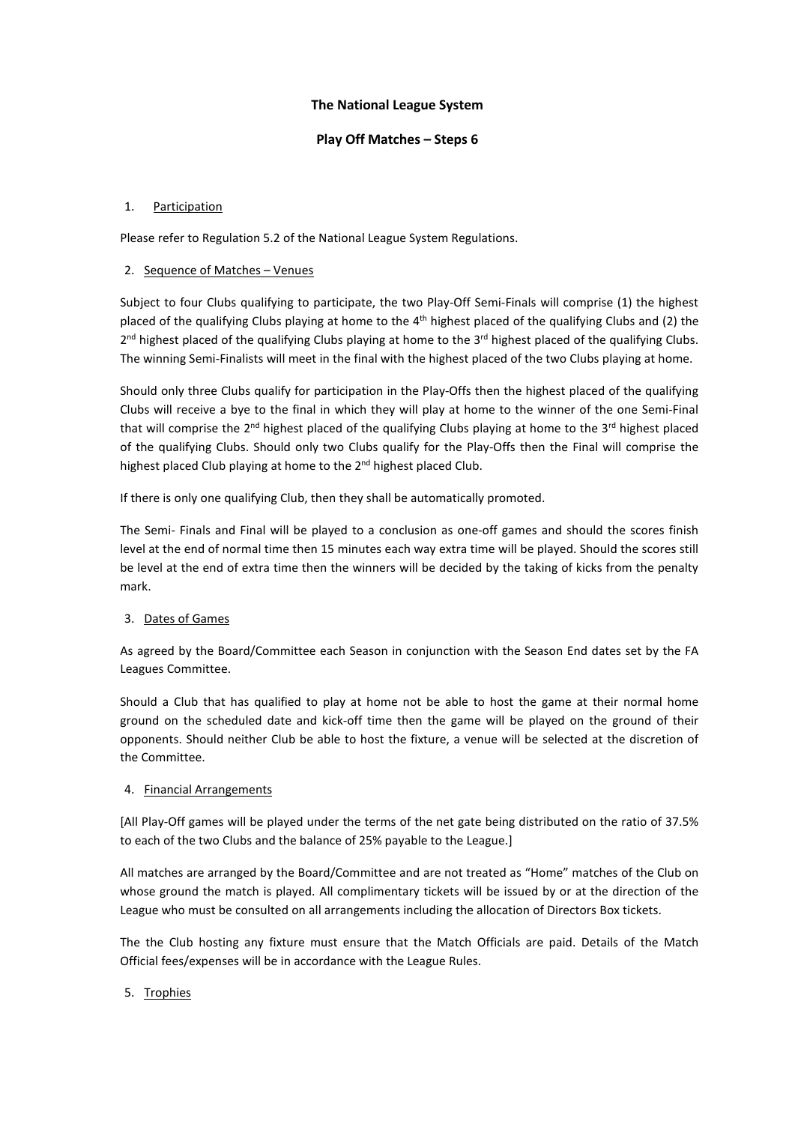# **The National League System**

### **Play Off Matches – Steps 6**

### 1. Participation

Please refer to Regulation 5.2 of the National League System Regulations.

### 2. Sequence of Matches – Venues

Subject to four Clubs qualifying to participate, the two Play-Off Semi-Finals will comprise (1) the highest placed of the qualifying Clubs playing at home to the  $4<sup>th</sup>$  highest placed of the qualifying Clubs and (2) the 2<sup>nd</sup> highest placed of the qualifying Clubs playing at home to the 3<sup>rd</sup> highest placed of the qualifying Clubs. The winning Semi-Finalists will meet in the final with the highest placed of the two Clubs playing at home.

Should only three Clubs qualify for participation in the Play-Offs then the highest placed of the qualifying Clubs will receive a bye to the final in which they will play at home to the winner of the one Semi-Final that will comprise the  $2^{nd}$  highest placed of the qualifying Clubs playing at home to the  $3^{rd}$  highest placed of the qualifying Clubs. Should only two Clubs qualify for the Play-Offs then the Final will comprise the highest placed Club playing at home to the 2<sup>nd</sup> highest placed Club.

If there is only one qualifying Club, then they shall be automatically promoted.

The Semi- Finals and Final will be played to a conclusion as one-off games and should the scores finish level at the end of normal time then 15 minutes each way extra time will be played. Should the scores still be level at the end of extra time then the winners will be decided by the taking of kicks from the penalty mark.

# 3. Dates of Games

As agreed by the Board/Committee each Season in conjunction with the Season End dates set by the FA Leagues Committee.

Should a Club that has qualified to play at home not be able to host the game at their normal home ground on the scheduled date and kick-off time then the game will be played on the ground of their opponents. Should neither Club be able to host the fixture, a venue will be selected at the discretion of the Committee.

#### 4. Financial Arrangements

[All Play-Off games will be played under the terms of the net gate being distributed on the ratio of 37.5% to each of the two Clubs and the balance of 25% payable to the League.]

All matches are arranged by the Board/Committee and are not treated as "Home" matches of the Club on whose ground the match is played. All complimentary tickets will be issued by or at the direction of the League who must be consulted on all arrangements including the allocation of Directors Box tickets.

The the Club hosting any fixture must ensure that the Match Officials are paid. Details of the Match Official fees/expenses will be in accordance with the League Rules.

# 5. Trophies